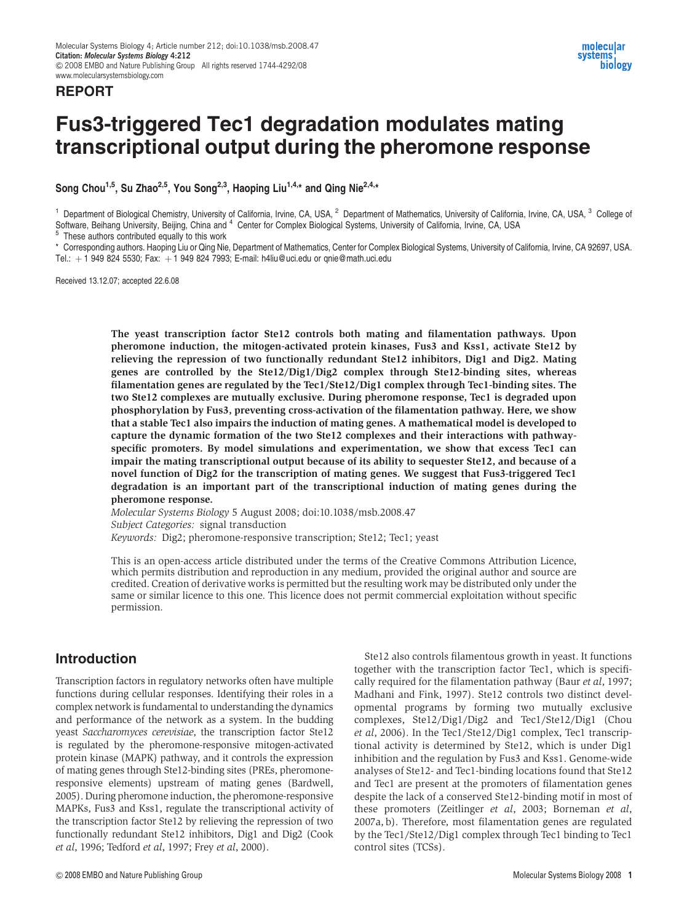### REPORT

# Fus3-triggered Tec1 degradation modulates mating transcriptional output during the pheromone response

Song Chou<sup>1,5</sup>, Su Zhao<sup>2,5</sup>, You Song<sup>2,3</sup>, Haoping Liu<sup>1,4,\*</sup> and Qing Nie<sup>2,4,\*</sup>

<sup>1</sup> Department of Biological Chemistry, University of California, Irvine, CA, USA, <sup>2</sup> Department of Mathematics, University of California, Irvine, CA, USA, <sup>3</sup> College of Software, Beihang University, Beijing, China and <sup>4</sup> Center for Complex Biological Systems, University of California, Irvine, CA, USA 5 These authors contributed equally to this work

\* Corresponding authors. Haoping Liu or Qing Nie, Department of Mathematics, Center for Complex Biological Systems, University of California, Irvine, CA 92697, USA. Tel.:  $+1$  949 824 5530; Fax:  $+1$  949 824 7993; E-mail: h4liu@uci.edu or qnie@math.uci.edu

Received 13.12.07; accepted 22.6.08

The yeast transcription factor Ste12 controls both mating and filamentation pathways. Upon pheromone induction, the mitogen-activated protein kinases, Fus3 and Kss1, activate Ste12 by relieving the repression of two functionally redundant Ste12 inhibitors, Dig1 and Dig2. Mating genes are controlled by the Ste12/Dig1/Dig2 complex through Ste12-binding sites, whereas filamentation genes are regulated by the Tec1/Ste12/Dig1 complex through Tec1-binding sites. The two Ste12 complexes are mutually exclusive. During pheromone response, Tec1 is degraded upon phosphorylation by Fus3, preventing cross-activation of the filamentation pathway. Here, we show that a stable Tec1 also impairs the induction of mating genes. A mathematical model is developed to capture the dynamic formation of the two Ste12 complexes and their interactions with pathwayspecific promoters. By model simulations and experimentation, we show that excess Tec1 can impair the mating transcriptional output because of its ability to sequester Ste12, and because of a novel function of Dig2 for the transcription of mating genes. We suggest that Fus3-triggered Tec1 degradation is an important part of the transcriptional induction of mating genes during the pheromone response.

Molecular Systems Biology 5 August 2008; doi:10.1038/msb.2008.47 Subject Categories: signal transduction Keywords: Dig2; pheromone-responsive transcription; Ste12; Tec1; yeast

This is an open-access article distributed under the terms of the Creative Commons Attribution Licence, which permits distribution and reproduction in any medium, provided the original author and source are credited. Creation of derivative works is permitted but the resulting work may be distributed only under the same or similar licence to this one. This licence does not permit commercial exploitation without specific permission.

### Introduction

Transcription factors in regulatory networks often have multiple functions during cellular responses. Identifying their roles in a complex network is fundamental to understanding the dynamics and performance of the network as a system. In the budding yeast Saccharomyces cerevisiae, the transcription factor Ste12 is regulated by the pheromone-responsive mitogen-activated protein kinase (MAPK) pathway, and it controls the expression of mating genes through Ste12-binding sites (PREs, pheromoneresponsive elements) upstream of mating genes (Bardwell, 2005). During pheromone induction, the pheromone-responsive MAPKs, Fus3 and Kss1, regulate the transcriptional activity of the transcription factor Ste12 by relieving the repression of two functionally redundant Ste12 inhibitors, Dig1 and Dig2 (Cook et al, 1996; Tedford et al, 1997; Frey et al, 2000).

Ste12 also controls filamentous growth in yeast. It functions together with the transcription factor Tec1, which is specifically required for the filamentation pathway (Baur et al, 1997; Madhani and Fink, 1997). Ste12 controls two distinct developmental programs by forming two mutually exclusive complexes, Ste12/Dig1/Dig2 and Tec1/Ste12/Dig1 (Chou et al, 2006). In the Tec1/Ste12/Dig1 complex, Tec1 transcriptional activity is determined by Ste12, which is under Dig1 inhibition and the regulation by Fus3 and Kss1. Genome-wide analyses of Ste12- and Tec1-binding locations found that Ste12 and Tec1 are present at the promoters of filamentation genes despite the lack of a conserved Ste12-binding motif in most of these promoters (Zeitlinger et al, 2003; Borneman et al, 2007a, b). Therefore, most filamentation genes are regulated by the Tec1/Ste12/Dig1 complex through Tec1 binding to Tec1 control sites (TCSs).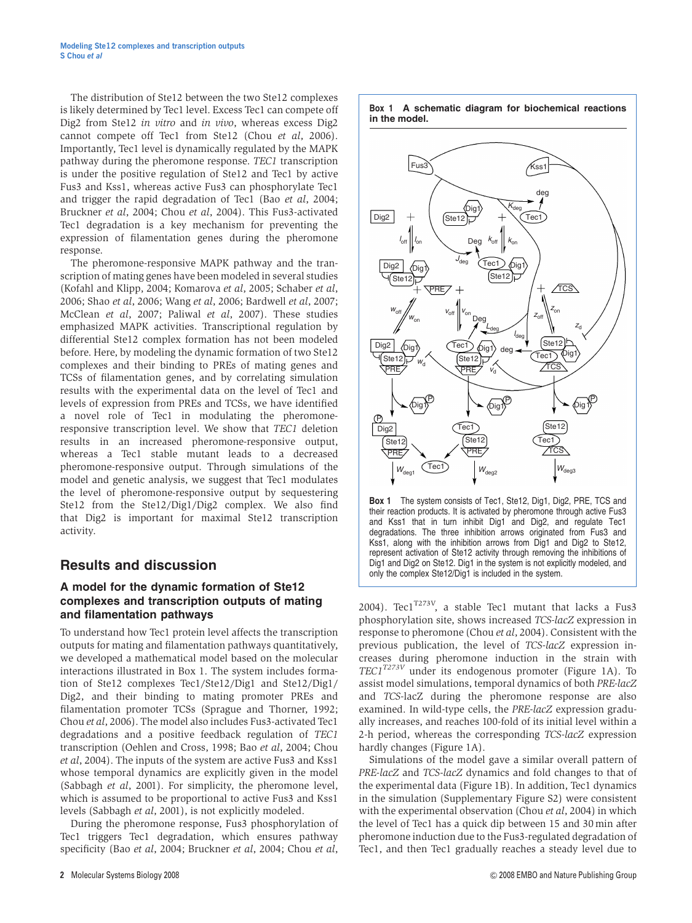The distribution of Ste12 between the two Ste12 complexes is likely determined by Tec1 level. Excess Tec1 can compete off Dig2 from Ste12 in vitro and in vivo, whereas excess Dig2 cannot compete off Tec1 from Ste12 (Chou et al, 2006). Importantly, Tec1 level is dynamically regulated by the MAPK pathway during the pheromone response. TEC1 transcription is under the positive regulation of Ste12 and Tec1 by active Fus3 and Kss1, whereas active Fus3 can phosphorylate Tec1 and trigger the rapid degradation of Tec1 (Bao et al, 2004; Bruckner et al, 2004; Chou et al, 2004). This Fus3-activated Tec1 degradation is a key mechanism for preventing the expression of filamentation genes during the pheromone response.

The pheromone-responsive MAPK pathway and the transcription of mating genes have been modeled in several studies (Kofahl and Klipp, 2004; Komarova et al, 2005; Schaber et al, 2006; Shao et al, 2006; Wang et al, 2006; Bardwell et al, 2007; McClean et al, 2007; Paliwal et al, 2007). These studies emphasized MAPK activities. Transcriptional regulation by differential Ste12 complex formation has not been modeled before. Here, by modeling the dynamic formation of two Ste12 complexes and their binding to PREs of mating genes and TCSs of filamentation genes, and by correlating simulation results with the experimental data on the level of Tec1 and levels of expression from PREs and TCSs, we have identified a novel role of Tec1 in modulating the pheromoneresponsive transcription level. We show that TEC1 deletion results in an increased pheromone-responsive output, whereas a Tec1 stable mutant leads to a decreased pheromone-responsive output. Through simulations of the model and genetic analysis, we suggest that Tec1 modulates the level of pheromone-responsive output by sequestering Ste12 from the Ste12/Dig1/Dig2 complex. We also find that Dig2 is important for maximal Ste12 transcription activity.

## Results and discussion

### A model for the dynamic formation of Ste12 complexes and transcription outputs of mating and filamentation pathways

To understand how Tec1 protein level affects the transcription outputs for mating and filamentation pathways quantitatively, we developed a mathematical model based on the molecular interactions illustrated in Box 1. The system includes formation of Ste12 complexes Tec1/Ste12/Dig1 and Ste12/Dig1/ Dig2, and their binding to mating promoter PREs and filamentation promoter TCSs (Sprague and Thorner, 1992; Chou et al, 2006). The model also includes Fus3-activated Tec1 degradations and a positive feedback regulation of TEC1 transcription (Oehlen and Cross, 1998; Bao et al, 2004; Chou et al, 2004). The inputs of the system are active Fus3 and Kss1 whose temporal dynamics are explicitly given in the model (Sabbagh et al, 2001). For simplicity, the pheromone level, which is assumed to be proportional to active Fus3 and Kss1 levels (Sabbagh et al, 2001), is not explicitly modeled.

During the pheromone response, Fus3 phosphorylation of Tec1 triggers Tec1 degradation, which ensures pathway specificity (Bao et al, 2004; Bruckner et al, 2004; Chou et al,



Box 1 A schematic diagram for biochemical reactions

Box 1 The system consists of Tec1, Ste12, Dig1, Dig2, PRE, TCS and their reaction products. It is activated by pheromone through active Fus3 and Kss1 that in turn inhibit Dig1 and Dig2, and regulate Tec1 degradations. The three inhibition arrows originated from Fus3 and Kss1, along with the inhibition arrows from Dig1 and Dig2 to Ste12, represent activation of Ste12 activity through removing the inhibitions of Dig1 and Dig2 on Ste12. Dig1 in the system is not explicitly modeled, and only the complex Ste12/Dig1 is included in the system.

2004). Tec $1^{T273V}$ , a stable Tec1 mutant that lacks a Fus3 phosphorylation site, shows increased TCS-lacZ expression in response to pheromone (Chou et al, 2004). Consistent with the previous publication, the level of TCS-lacZ expression increases during pheromone induction in the strain with  $TECI^{T273V}$  under its endogenous promoter (Figure 1A). To assist model simulations, temporal dynamics of both PRE-lacZ and TCS-lacZ during the pheromone response are also examined. In wild-type cells, the PRE-lacZ expression gradually increases, and reaches 100-fold of its initial level within a 2-h period, whereas the corresponding TCS-lacZ expression hardly changes (Figure 1A).

Simulations of the model gave a similar overall pattern of PRE-lacZ and TCS-lacZ dynamics and fold changes to that of the experimental data (Figure 1B). In addition, Tec1 dynamics in the simulation (Supplementary Figure S2) were consistent with the experimental observation (Chou et al, 2004) in which the level of Tec1 has a quick dip between 15 and 30 min after pheromone induction due to the Fus3-regulated degradation of Tec1, and then Tec1 gradually reaches a steady level due to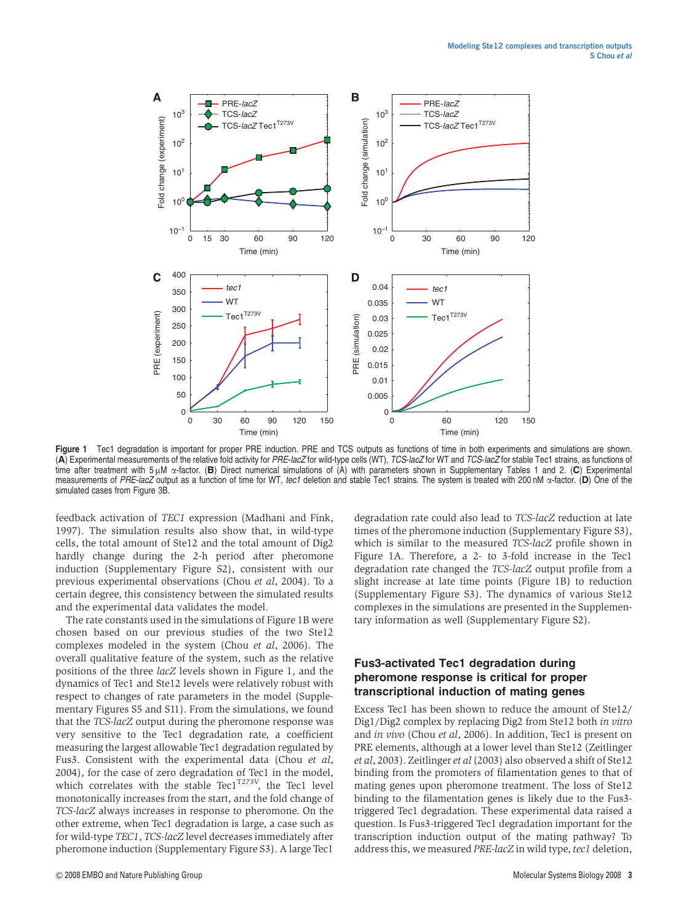

Figure 1 Tec1 degradation is important for proper PRE induction. PRE and TCS outputs as functions of time in both experiments and simulations are shown. (A) Experimental measurements of the relative fold activity for PRE-lacZ for wild-type cells (WT), TCS-lacZ for WT and TCS-lacZ for stable Tec1 strains, as functions of time after treatment with 5  $\mu$ M  $\alpha$ -factor. (B) Direct numerical simulations of (A) with parameters shown in Supplementary Tables 1 and 2. (C) Experimental measurements of PRE-lacZ output as a function of time for WT, tec1 deletion and stable Tec1 strains. The system is treated with 200 nM  $\alpha$ -factor. (D) One of the simulated cases from Figure 3B.

feedback activation of TEC1 expression (Madhani and Fink, 1997). The simulation results also show that, in wild-type cells, the total amount of Ste12 and the total amount of Dig2 hardly change during the 2-h period after pheromone induction (Supplementary Figure S2), consistent with our previous experimental observations (Chou et al, 2004). To a certain degree, this consistency between the simulated results and the experimental data validates the model.

The rate constants used in the simulations of Figure 1B were chosen based on our previous studies of the two Ste12 complexes modeled in the system (Chou et al, 2006). The overall qualitative feature of the system, such as the relative positions of the three lacZ levels shown in Figure 1, and the dynamics of Tec1 and Ste12 levels were relatively robust with respect to changes of rate parameters in the model (Supplementary Figures S5 and S11). From the simulations, we found that the TCS-lacZ output during the pheromone response was very sensitive to the Tec1 degradation rate, a coefficient measuring the largest allowable Tec1 degradation regulated by Fus3. Consistent with the experimental data (Chou et al, 2004), for the case of zero degradation of Tec1 in the model, which correlates with the stable Tec1<sup>T273V</sup>, the Tec1 level monotonically increases from the start, and the fold change of TCS-lacZ always increases in response to pheromone. On the other extreme, when Tec1 degradation is large, a case such as for wild-type TEC1, TCS-lacZ level decreases immediately after pheromone induction (Supplementary Figure S3). A large Tec1

degradation rate could also lead to TCS-lacZ reduction at late times of the pheromone induction (Supplementary Figure S3), which is similar to the measured TCS-lacZ profile shown in Figure 1A. Therefore, a 2- to 3-fold increase in the Tec1 degradation rate changed the TCS-lacZ output profile from a slight increase at late time points (Figure 1B) to reduction (Supplementary Figure S3). The dynamics of various Ste12 complexes in the simulations are presented in the Supplementary information as well (Supplementary Figure S2).

### Fus3-activated Tec1 degradation during pheromone response is critical for proper transcriptional induction of mating genes

Excess Tec1 has been shown to reduce the amount of Ste12/ Dig1/Dig2 complex by replacing Dig2 from Ste12 both in vitro and *in vivo* (Chou et al, 2006). In addition, Tec1 is present on PRE elements, although at a lower level than Ste12 (Zeitlinger et al, 2003). Zeitlinger et al (2003) also observed a shift of Ste12 binding from the promoters of filamentation genes to that of mating genes upon pheromone treatment. The loss of Ste12 binding to the filamentation genes is likely due to the Fus3 triggered Tec1 degradation. These experimental data raised a question. Is Fus3-triggered Tec1 degradation important for the transcription induction output of the mating pathway? To address this, we measured PRE-lacZ in wild type, tec1 deletion,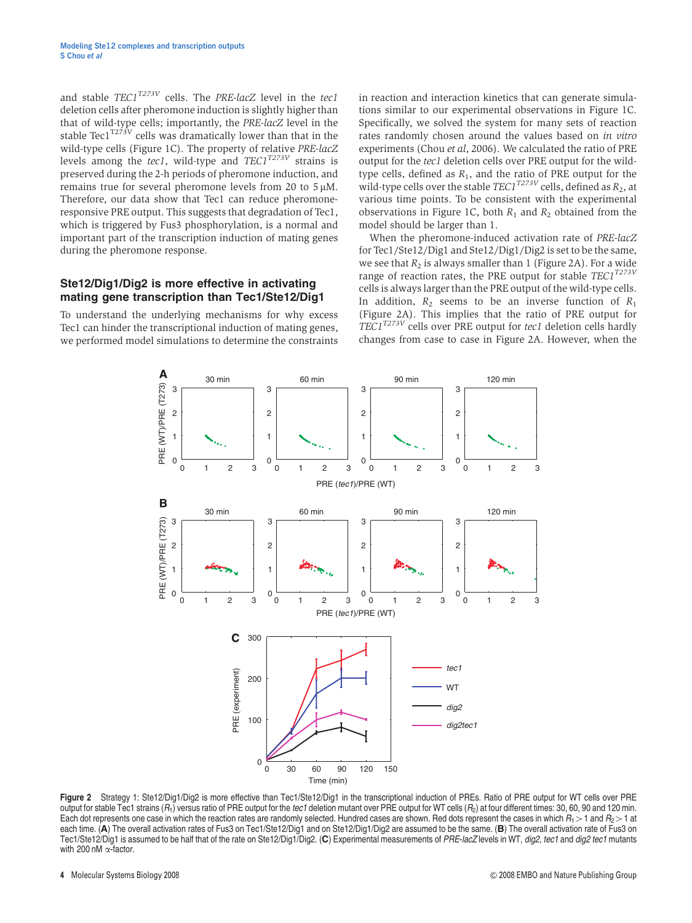and stable  $TECI^{T273V}$  cells. The PRE-lacZ level in the tec1 deletion cells after pheromone induction is slightly higher than that of wild-type cells; importantly, the PRE-lacZ level in the stable Tec1 $T^{273V}$  cells was dramatically lower than that in the wild-type cells (Figure 1C). The property of relative PRE-lacZ levels among the tec1, wild-type and  $TECI^{T273V}$  strains is preserved during the 2-h periods of pheromone induction, and remains true for several pheromone levels from 20 to 5  $\mu$ M. Therefore, our data show that Tec1 can reduce pheromoneresponsive PRE output. This suggests that degradation of Tec1, which is triggered by Fus3 phosphorylation, is a normal and important part of the transcription induction of mating genes during the pheromone response.

#### Ste12/Dig1/Dig2 is more effective in activating mating gene transcription than Tec1/Ste12/Dig1

To understand the underlying mechanisms for why excess Tec1 can hinder the transcriptional induction of mating genes, we performed model simulations to determine the constraints in reaction and interaction kinetics that can generate simulations similar to our experimental observations in Figure 1C. Specifically, we solved the system for many sets of reaction rates randomly chosen around the values based on *in vitro* experiments (Chou et al, 2006). We calculated the ratio of PRE output for the tec1 deletion cells over PRE output for the wildtype cells, defined as  $R_1$ , and the ratio of PRE output for the wild-type cells over the stable  $TECI^{T273V}$  cells, defined as  $R_2$ , at various time points. To be consistent with the experimental observations in Figure 1C, both  $R_1$  and  $R_2$  obtained from the model should be larger than 1.

When the pheromone-induced activation rate of PRE-lacZ for Tec1/Ste12/Dig1 and Ste12/Dig1/Dig2 is set to be the same, we see that  $R_2$  is always smaller than 1 (Figure 2A). For a wide range of reaction rates, the PRE output for stable  $TECI^{T273V}$ cells is always larger than the PRE output of the wild-type cells. In addition,  $R_2$  seems to be an inverse function of  $R_1$ (Figure 2A). This implies that the ratio of PRE output for TEC1<sup>T273V</sup> cells over PRE output for tec1 deletion cells hardly changes from case to case in Figure 2A. However, when the



Figure 2 Strategy 1: Ste12/Dig1/Dig2 is more effective than Tec1/Ste12/Dig1 in the transcriptional induction of PREs. Ratio of PRE output for WT cells over PRE output for stable Tec1 strains  $(R_1)$  versus ratio of PRE output for the tec1 deletion mutant over PRE output for WT cells  $(R_2)$  at four different times: 30, 60, 90 and 120 min. Each dot represents one case in which the reaction rates are randomly selected. Hundred cases are shown. Red dots represent the cases in which  $R_1 > 1$  and  $R_2 > 1$  at each time. (A) The overall activation rates of Fus3 on Tec1/Ste12/Dig1 and on Ste12/Dig1/Dig2 are assumed to be the same. (B) The overall activation rate of Fus3 on Tec1/Ste12/Dig1 is assumed to be half that of the rate on Ste12/Dig1/Dig2. (C) Experimental measurements of PRE-lacZ levels in WT, dig2, tec1 and dig2 tec1 mutants with 200 nM  $\alpha$ -factor.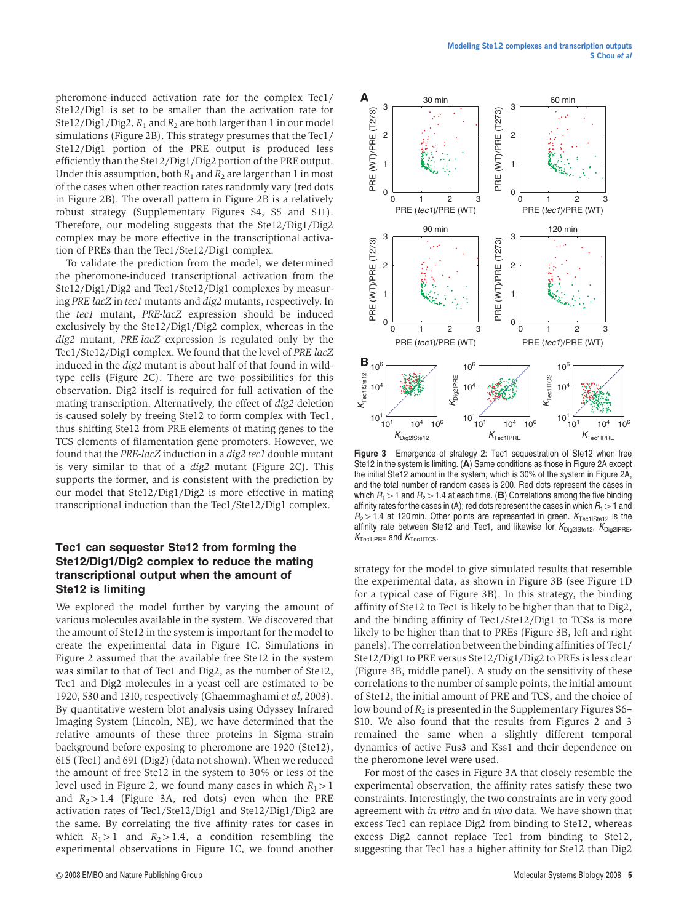pheromone-induced activation rate for the complex Tec1/ Ste12/Dig1 is set to be smaller than the activation rate for Ste12/Dig1/Dig2,  $R_1$  and  $R_2$  are both larger than 1 in our model simulations (Figure 2B). This strategy presumes that the Tec1/ Ste12/Dig1 portion of the PRE output is produced less efficiently than the Ste12/Dig1/Dig2 portion of the PRE output. Under this assumption, both  $R_1$  and  $R_2$  are larger than 1 in most of the cases when other reaction rates randomly vary (red dots in Figure 2B). The overall pattern in Figure 2B is a relatively robust strategy (Supplementary Figures S4, S5 and S11). Therefore, our modeling suggests that the Ste12/Dig1/Dig2 complex may be more effective in the transcriptional activation of PREs than the Tec1/Ste12/Dig1 complex.

To validate the prediction from the model, we determined the pheromone-induced transcriptional activation from the Ste12/Dig1/Dig2 and Tec1/Ste12/Dig1 complexes by measuring PRE-lacZ in tec1 mutants and dig2 mutants, respectively. In the tec1 mutant, PRE-lacZ expression should be induced exclusively by the Ste12/Dig1/Dig2 complex, whereas in the dig2 mutant, PRE-lacZ expression is regulated only by the Tec1/Ste12/Dig1 complex. We found that the level of PRE-lacZ induced in the dig2 mutant is about half of that found in wildtype cells (Figure 2C). There are two possibilities for this observation. Dig2 itself is required for full activation of the mating transcription. Alternatively, the effect of dig2 deletion is caused solely by freeing Ste12 to form complex with Tec1, thus shifting Ste12 from PRE elements of mating genes to the TCS elements of filamentation gene promoters. However, we found that the PRE-lacZ induction in a dig2 tec1 double mutant is very similar to that of a dig2 mutant (Figure 2C). This supports the former, and is consistent with the prediction by our model that Ste12/Dig1/Dig2 is more effective in mating transcriptional induction than the Tec1/Ste12/Dig1 complex.

#### Tec1 can sequester Ste12 from forming the Ste12/Dig1/Dig2 complex to reduce the mating transcriptional output when the amount of Ste12 is limiting

We explored the model further by varying the amount of various molecules available in the system. We discovered that the amount of Ste12 in the system is important for the model to create the experimental data in Figure 1C. Simulations in Figure 2 assumed that the available free Ste12 in the system was similar to that of Tec1 and Dig2, as the number of Ste12, Tec1 and Dig2 molecules in a yeast cell are estimated to be 1920, 530 and 1310, respectively (Ghaemmaghami et al, 2003). By quantitative western blot analysis using Odyssey Infrared Imaging System (Lincoln, NE), we have determined that the relative amounts of these three proteins in Sigma strain background before exposing to pheromone are 1920 (Ste12), 615 (Tec1) and 691 (Dig2) (data not shown). When we reduced the amount of free Ste12 in the system to 30% or less of the level used in Figure 2, we found many cases in which  $R_1 > 1$ and  $R_2 > 1.4$  (Figure 3A, red dots) even when the PRE activation rates of Tec1/Ste12/Dig1 and Ste12/Dig1/Dig2 are the same. By correlating the five affinity rates for cases in which  $R_1>1$  and  $R_2>1.4$ , a condition resembling the experimental observations in Figure 1C, we found another



Figure 3 Emergence of strategy 2: Tec1 sequestration of Ste12 when free Ste12 in the system is limiting. (A) Same conditions as those in Figure 2A except the initial Ste12 amount in the system, which is 30% of the system in Figure 2A, and the total number of random cases is 200. Red dots represent the cases in which  $R_1 > 1$  and  $R_2 > 1.4$  at each time. (B) Correlations among the five binding affinity rates for the cases in (A); red dots represent the cases in which  $R_1 > 1$  and  $R_2 > 1.4$  at 120 min. Other points are represented in green.  $K_{\text{Tecl}}$ <sub>18te12</sub> is the affinity rate between Ste12 and Tec1, and likewise for  $K_{\text{Diq2}|\text{Ste12}}, K_{\text{Diq2}| \text{PRE}}$  $K_{\text{TeclIPRE}}$  and  $K_{\text{TeclITCS}}$ .

strategy for the model to give simulated results that resemble the experimental data, as shown in Figure 3B (see Figure 1D for a typical case of Figure 3B). In this strategy, the binding affinity of Ste12 to Tec1 is likely to be higher than that to Dig2, and the binding affinity of Tec1/Ste12/Dig1 to TCSs is more likely to be higher than that to PREs (Figure 3B, left and right panels). The correlation between the binding affinities of Tec1/ Ste12/Dig1 to PRE versus Ste12/Dig1/Dig2 to PREs is less clear (Figure 3B, middle panel). A study on the sensitivity of these correlations to the number of sample points, the initial amount of Ste12, the initial amount of PRE and TCS, and the choice of low bound of  $R_2$  is presented in the Supplementary Figures S6– S10. We also found that the results from Figures 2 and 3 remained the same when a slightly different temporal dynamics of active Fus3 and Kss1 and their dependence on the pheromone level were used.

For most of the cases in Figure 3A that closely resemble the experimental observation, the affinity rates satisfy these two constraints. Interestingly, the two constraints are in very good agreement with in vitro and in vivo data. We have shown that excess Tec1 can replace Dig2 from binding to Ste12, whereas excess Dig2 cannot replace Tec1 from binding to Ste12, suggesting that Tec1 has a higher affinity for Ste12 than Dig2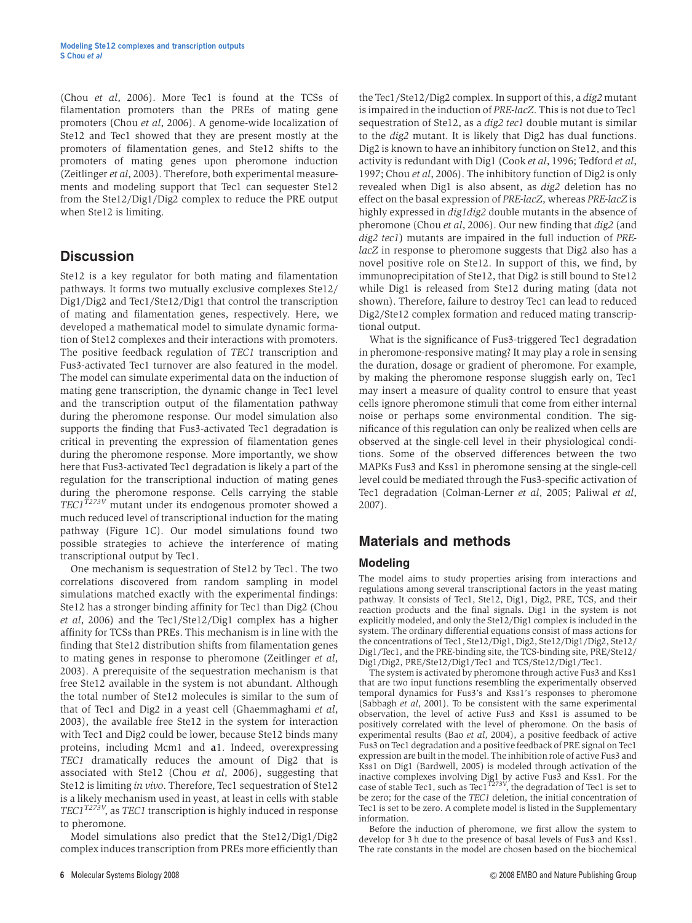(Chou et al, 2006). More Tec1 is found at the TCSs of filamentation promoters than the PREs of mating gene promoters (Chou et al, 2006). A genome-wide localization of Ste12 and Tec1 showed that they are present mostly at the promoters of filamentation genes, and Ste12 shifts to the promoters of mating genes upon pheromone induction (Zeitlinger et al, 2003). Therefore, both experimental measurements and modeling support that Tec1 can sequester Ste12 from the Ste12/Dig1/Dig2 complex to reduce the PRE output when Ste12 is limiting.

### **Discussion**

Ste12 is a key regulator for both mating and filamentation pathways. It forms two mutually exclusive complexes Ste12/ Dig1/Dig2 and Tec1/Ste12/Dig1 that control the transcription of mating and filamentation genes, respectively. Here, we developed a mathematical model to simulate dynamic formation of Ste12 complexes and their interactions with promoters. The positive feedback regulation of TEC1 transcription and Fus3-activated Tec1 turnover are also featured in the model. The model can simulate experimental data on the induction of mating gene transcription, the dynamic change in Tec1 level and the transcription output of the filamentation pathway during the pheromone response. Our model simulation also supports the finding that Fus3-activated Tec1 degradation is critical in preventing the expression of filamentation genes during the pheromone response. More importantly, we show here that Fus3-activated Tec1 degradation is likely a part of the regulation for the transcriptional induction of mating genes during the pheromone response. Cells carrying the stable TEC1 $^{T273V}$  mutant under its endogenous promoter showed a much reduced level of transcriptional induction for the mating pathway (Figure 1C). Our model simulations found two possible strategies to achieve the interference of mating transcriptional output by Tec1.

One mechanism is sequestration of Ste12 by Tec1. The two correlations discovered from random sampling in model simulations matched exactly with the experimental findings: Ste12 has a stronger binding affinity for Tec1 than Dig2 (Chou et al, 2006) and the Tec1/Ste12/Dig1 complex has a higher affinity for TCSs than PREs. This mechanism is in line with the finding that Ste12 distribution shifts from filamentation genes to mating genes in response to pheromone (Zeitlinger et al, 2003). A prerequisite of the sequestration mechanism is that free Ste12 available in the system is not abundant. Although the total number of Ste12 molecules is similar to the sum of that of Tec1 and Dig2 in a yeast cell (Ghaemmaghami et al, 2003), the available free Ste12 in the system for interaction with Tec1 and Dig2 could be lower, because Ste12 binds many proteins, including Mcm1 and a1. Indeed, overexpressing TEC1 dramatically reduces the amount of Dig2 that is associated with Ste12 (Chou et al, 2006), suggesting that Ste12 is limiting in vivo. Therefore, Tec1 sequestration of Ste12 is a likely mechanism used in yeast, at least in cells with stable TEC1 $^{T273V}$ , as TEC1 transcription is highly induced in response to pheromone.

Model simulations also predict that the Ste12/Dig1/Dig2 complex induces transcription from PREs more efficiently than

the Tec1/Ste12/Dig2 complex. In support of this, a dig2 mutant is impaired in the induction of PRE-lacZ. This is not due to Tec1 sequestration of Ste12, as a dig2 tec1 double mutant is similar to the dig2 mutant. It is likely that Dig2 has dual functions. Dig2 is known to have an inhibitory function on Ste12, and this activity is redundant with Dig1 (Cook et al, 1996; Tedford et al, 1997; Chou et al, 2006). The inhibitory function of Dig2 is only revealed when Dig1 is also absent, as dig2 deletion has no effect on the basal expression of PRE-lacZ, whereas PRE-lacZ is highly expressed in *dig1dig2* double mutants in the absence of pheromone (Chou et al, 2006). Our new finding that dig2 (and dig2 tec1) mutants are impaired in the full induction of PRElacZ in response to pheromone suggests that Dig2 also has a novel positive role on Ste12. In support of this, we find, by immunoprecipitation of Ste12, that Dig2 is still bound to Ste12 while Dig1 is released from Ste12 during mating (data not shown). Therefore, failure to destroy Tec1 can lead to reduced Dig2/Ste12 complex formation and reduced mating transcriptional output.

What is the significance of Fus3-triggered Tec1 degradation in pheromone-responsive mating? It may play a role in sensing the duration, dosage or gradient of pheromone. For example, by making the pheromone response sluggish early on, Tec1 may insert a measure of quality control to ensure that yeast cells ignore pheromone stimuli that come from either internal noise or perhaps some environmental condition. The significance of this regulation can only be realized when cells are observed at the single-cell level in their physiological conditions. Some of the observed differences between the two MAPKs Fus3 and Kss1 in pheromone sensing at the single-cell level could be mediated through the Fus3-specific activation of Tec1 degradation (Colman-Lerner et al, 2005; Paliwal et al, 2007).

## Materials and methods

### Modeling

The model aims to study properties arising from interactions and regulations among several transcriptional factors in the yeast mating pathway. It consists of Tec1, Ste12, Dig1, Dig2, PRE, TCS, and their reaction products and the final signals. Dig1 in the system is not explicitly modeled, and only the Ste12/Dig1 complex is included in the system. The ordinary differential equations consist of mass actions for the concentrations of Tec1, Ste12/Dig1, Dig2, Ste12/Dig1/Dig2, Ste12/ Dig1/Tec1, and the PRE-binding site, the TCS-binding site, PRE/Ste12/ Dig1/Dig2, PRE/Ste12/Dig1/Tec1 and TCS/Ste12/Dig1/Tec1.

The system is activated by pheromone through active Fus3 and Kss1 that are two input functions resembling the experimentally observed temporal dynamics for Fus3's and Kss1's responses to pheromone (Sabbagh et al, 2001). To be consistent with the same experimental observation, the level of active Fus3 and Kss1 is assumed to be positively correlated with the level of pheromone. On the basis of experimental results (Bao et al, 2004), a positive feedback of active Fus3 on Tec1 degradation and a positive feedback of PRE signal on Tec1 expression are built in the model. The inhibition role of active Fus3 and Kss1 on Dig1 (Bardwell, 2005) is modeled through activation of the inactive complexes involving Dig1 by active Fus3 and Kss1. For the case of stable Tec1, such as Tec1<sup>T273V</sup>, the degradation of Tec1 is set to be zero; for the case of the TEC1 deletion, the initial concentration of Tec1 is set to be zero. A complete model is listed in the Supplementary information.

Before the induction of pheromone, we first allow the system to develop for 3 h due to the presence of basal levels of Fus3 and Kss1. The rate constants in the model are chosen based on the biochemical